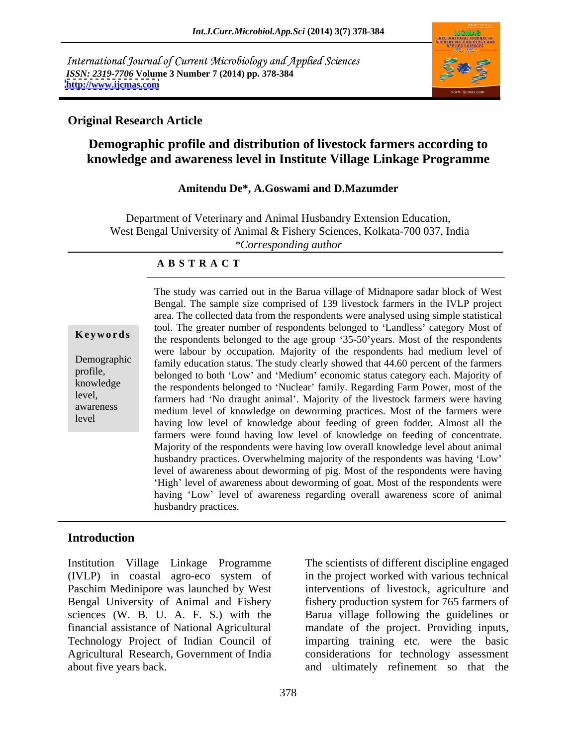International Journal of Current Microbiology and Applied Sciences *ISSN: 2319-7706* **Volume 3 Number 7 (2014) pp. 378-384 <http://www.ijcmas.com>**



### **Original Research Article**

# **Demographic profile and distribution of livestock farmers according to knowledge and awareness level in Institute Village Linkage Programme**

#### **Amitendu De\*, A.Goswami and D.Mazumder**

Department of Veterinary and Animal Husbandry Extension Education, West Bengal University of Animal & Fishery Sciences, Kolkata-700 037, India *\*Corresponding author* 

#### **A B S T R A C T**

**Keywords** the respondents belonged to the age group '35-50'years. Most of the respondents Demographic family education status. The study clearly showed that 44.60 percent of the farmers profile,<br>
belonged to both 'Low' and 'Medium' economic status category each. Majority of knowledge the respondents belonged to 'Nuclear' family. Regarding Farm Power, most of the level, farmers had 'No draught animal'. Majority of the livestock farmers were having awareness medium level of knowledge on deworming practices. Most of the farmers were level<br>having low level of knowledge about feeding of green fodder. Almost all the The study was carried out in the Barua village of Midnapore sadar block of West Bengal. The sample size comprised of 139 livestock farmers in the IVLP project area. The collected data from the respondents were analysed using simple statistical tool. The greater number of respondents belonged to 'Landless' category Most of were labour by occupation. Majority of the respondents had medium level of farmers were found having low level of knowledge on feeding of concentrate. Majority of the respondents were having low overall knowledge level about animal husbandry practices. Overwhelming majority of the respondents was having 'Low' level of awareness about deworming of pig. Most of the respondents were having 'High' level of awareness about deworming of goat. Most of the respondents were having 'Low' level of awareness regarding overall awareness score of animal husbandry practices.

### **Introduction**

Institution Village Linkage Programme The scientists of different discipline engaged (IVLP) in coastal agro-eco system of in the project worked with various technical Paschim Medinipore was launched by West interventions of livestock, agriculture and Bengal University of Animal and Fishery sciences (W. B. U. A. F. S.) with the Barua village following the guidelines or financial assistance of National Agricultural mandate of the project. Providing inputs, Technology Project of Indian Council of imparting training etc. were the basic Agricultural Research, Government of India considerations for technology assessment about five years back. and ultimately refinement so that the

fishery production system for 765 farmers of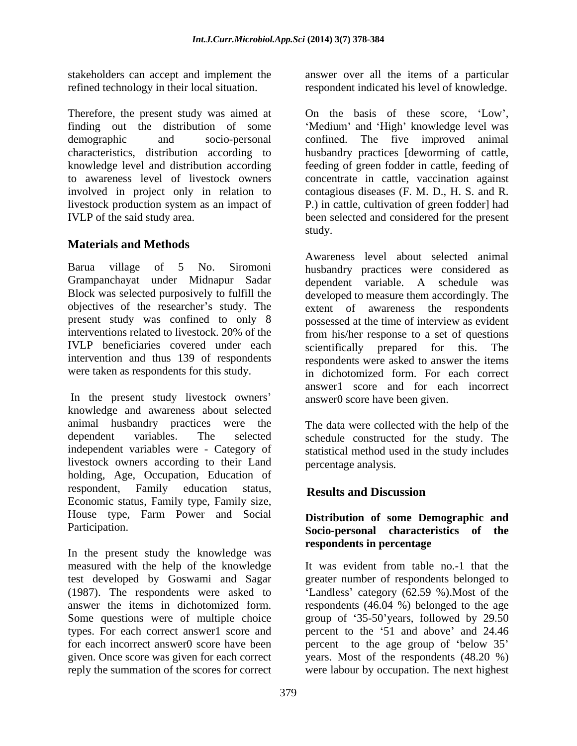Therefore, the present study was aimed at

## **Materials and Methods**

Grampanchayat under Midnapur Sadar IVLP beneficiaries covered under each scientifically prepared for this. The

In the present study livestock owners' knowledge and awareness about selected animal husbandry practices were the dependent variables. The selected schedule constructed for the study. The independent variables were - Category of statistical method used in the study includes livestock owners according to their Land holding, Age, Occupation, Education of respondent, Family education status, Results and Discussion Economic status, Family type, Family size, House type, Farm Power and Social

In the present study the knowledge was measured with the help of the knowledge test developed by Goswami and Sagar greater number of respondents belonged to (1987). The respondents were asked to <br>
'Landless' category (62.59 %). Most of the answer the items in dichotomized form. respondents (46.04 %) belonged to the age Some questions were of multiple choice group of '35-50'years, followed by 29.50 types. For each correct answer1 score and percent to the '51 and above' and 24.46 for each incorrect answer0 score have been percent to the age group of 'below 35' given. Once score was given for each correct years. Most of the respondents (48.20 %) reply the summation of the scores for correct were labour by occupation. The next highest

stakeholders can accept and implement the answer over all the items of a particular refined technology in their local situation. respondent indicated his level of knowledge.

finding out the distribution of some 'Medium' and 'High' knowledge level was demographic and socio-personal confined. The five improved animal characteristics, distribution according to husbandry practices [deworming of cattle, knowledge level and distribution according feeding of green fodder in cattle, feeding of to awareness level of livestock owners concentrate in cattle, vaccination against involved in project only in relation to contagious diseases (F. M. D., H. S. and R. livestock production system as an impact of P.) in cattle, cultivation of green fodder] had IVLP of the said study area. been selected and considered for the present On the basis of these score, 'Low', study.

Barua village of 5 No. Siromoni husbandry practices were considered as Block was selected purposively to fulfill the developed to measure them accordingly. The objectives of the researcher's study. The extent of awareness the respondents present study was confined to only 8 possessed at the time of interview as evident interventions related to livestock. 20% of the from his/her response to a set of questions intervention and thus 139 of respondents respondents were asked to answer the items were taken as respondents for this study. in dichotomized form. For each correct Awareness level about selected animal dependent variable. A schedule was scientifically prepared for this. answer1 score and for each incorrect answer0 score have been given.

> The data were collected with the help of the percentage analysis*.*

# **Results and Discussion**

### Participation. **Socio-personal characteristics of the Distribution of some Demographic and respondents in percentage**

It was evident from table no.-1 that the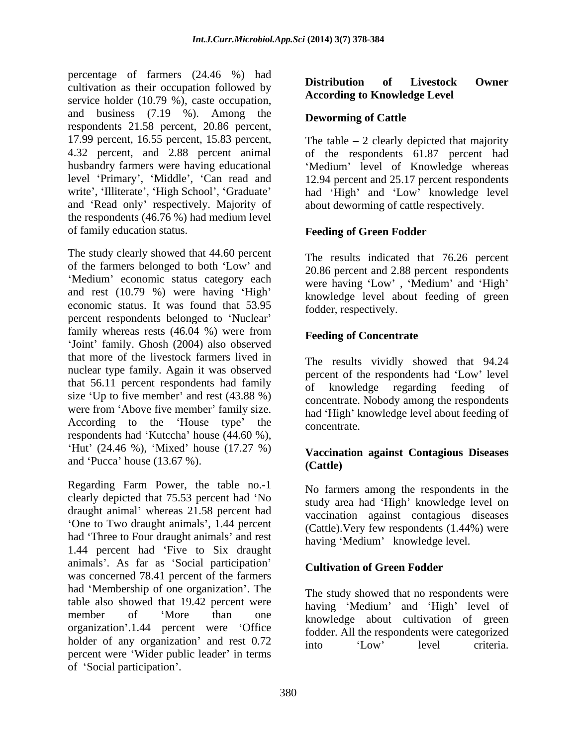percentage of farmers (24.46 %) had<br> **Distribution of Livestock Owner** cultivation as their occupation followed by service holder (10.79 %), caste occupation, and business (7.19 %). Among the **Deworming of Cattle** respondents 21.58 percent, 20.86 percent, 17.99 percent, 16.55 percent, 15.83 percent, 4.32 percent, and 2.88 percent animal of the respondents 61.87 percent had husbandry farmers were having educational "Medium" level of Knowledge whereas level 'Primary', 'Middle', 'Can read and 12.94 percent and 25.17 percent respondents write', 'Illiterate', 'High School', 'Graduate' had 'High' and 'Low' knowledge level and 'Read only' respectively. Majority of the respondents (46.76 %) had medium level of family education status. **Feeding of Green Fodder**

The study clearly showed that 44.60 percent of the farmers belonged to both 'Low' and 'Medium' economic status category each and rest  $(10.79 \%)$  were having 'High' economic status. It was found that 53.95 percent respondents belonged to 'Nuclear' family whereas rests (46.04 %) were from 'Joint' family. Ghosh (2004) also observed that more of the livestock farmers lived in nuclear type family. Again it was observed that 56.11 percent respondents had family of knowledge regarding feeding of size 'Up to five member' and rest  $(43.88\%)$ were from 'Above five member' family size. According to the 'House type' the  $\frac{1}{2}$  concentrate According to the House type the concentrate.<br>respondents had 'Kutccha' house (44.60 %), 'Hut' (24.46 %), 'Mixed' house  $(17.27 \%)$ and 'Pucca' house (13.67 %). (Cattle) sintendom is the recent of the social participation of Tieretics Compare (17:19 %). Among the social participation of the state of the state of the state of the state of the state of the state of the state of the state of

Regarding Farm Power, the table no.-1 clearly depicted that 75.53 percent had 'No draught animal' whereas 21.58 percent had One to Two draught animals , 1.44 percent had 'Three to Four draught animals' and rest<br>having 'Medium' knowledge level. 1.44 percent had 'Five to Six draught animals'. As far as 'Social participation' Cultivation of Green Fodder was concerned 78.41 percent of the farmers had 'Membership of one organization'. The table also showed that 19.42 percent were member of 'More than one knowledge about cultivation of green organization'.1.44 percent were 'Office holder of any organization' and rest  $0.72$  into  $\frac{1000 \times 1000}{100}$  level criteria. percent were 'Wider public leader' in terms

# **According to Knowledge Level**

## **Deworming of Cattle**

The table  $-2$  clearly depicted that majority about deworming of cattle respectively.

The results indicated that 76.26 percent 20.86 percent and 2.88 percent respondents were having 'Low', 'Medium' and 'High' knowledge level about feeding of green fodder, respectively.

### **Feeding of Concentrate**

The results vividly showed that 94.24 percent of the respondents had 'Low' level of knowledge regarding feeding concentrate. Nobody among the respondents had 'High' knowledge level about feeding of concentrate.

### **Vaccination against Contagious Diseases (Cattle)**

No farmers among the respondents in the study area had 'High' knowledge level on vaccination against contagious diseases (Cattle).Very few respondents (1.44%) were having 'Medium' knowledge level.

### **Cultivation of Green Fodder**

The study showed that no respondents were having 'Medium' and 'High' level of fodder. All the respondents were categorized into 'Low' level criteria.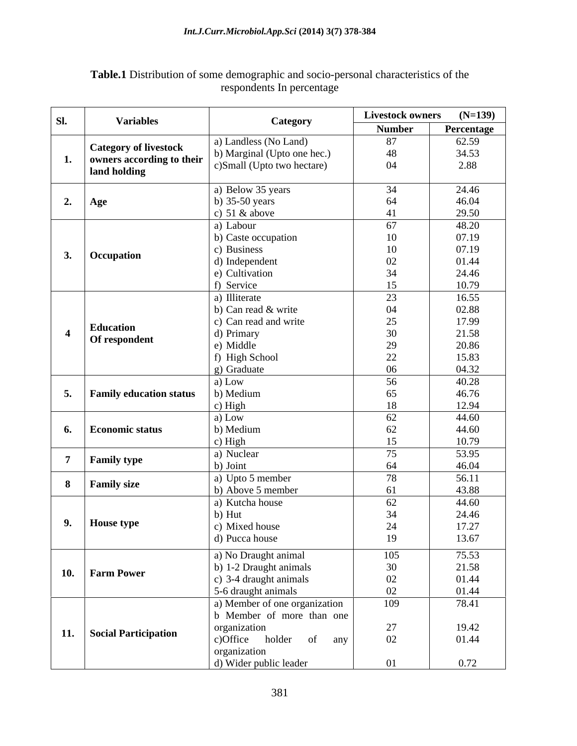| SI.            | <b>Variables</b>                                          | Category                      | <b>Livestock owners</b> | $(N=139)$  |
|----------------|-----------------------------------------------------------|-------------------------------|-------------------------|------------|
|                |                                                           |                               | <b>Number</b>           | Percentage |
|                |                                                           | a) Landless (No Land)         | 87                      | 62.59      |
| 1.             | <b>Category of livestock</b><br>owners according to their | b) Marginal (Upto one hec.)   | 48                      | 34.53      |
|                | land holding                                              | c)Small (Upto two hectare)    | 04                      | 2.88       |
|                |                                                           |                               |                         |            |
|                |                                                           | a) Below 35 years             | 34                      | 24.46      |
| 2.             | Age                                                       | b) $35-50$ years              | 64                      | 46.04      |
|                |                                                           | c) $51 \& above$              | $\Lambda$ 1             | 29.50      |
|                |                                                           | a) Labour                     | 67                      | 48.20      |
|                |                                                           | b) Caste occupation           | 10                      | 07.19      |
| 3.             |                                                           | c) Business                   | 10                      | 07.19      |
|                | Occupation                                                | d) Independent                | 02                      | 01.44      |
|                |                                                           | e) Cultivation                | 34                      | 24.46      |
|                |                                                           | f) Service                    | 15                      | 10.79      |
|                |                                                           | a) Illiterate                 | 23                      | 16.55      |
|                |                                                           | b) Can read & write           | 04                      | 02.88      |
|                | <b>Education</b>                                          | c) Can read and write         | 25                      | 17.99      |
|                |                                                           | d) Primary                    | 30                      | 21.58      |
|                | Of respondent                                             | e) Middle                     | 29                      | 20.86      |
|                |                                                           | f) High School                | 22<br>∠∠                | 15.83      |
|                |                                                           | g) Graduate                   | 06                      | 04.32      |
|                |                                                           | a) Low                        | 56                      | 40.28      |
| 5.             | <b>Family education status</b>                            | b) Medium                     | 65                      | 46.76      |
|                |                                                           | c) High                       | 18                      | 12.94      |
|                |                                                           | a) Low                        | 62                      | 44.60      |
|                | 6. Economic status                                        | b) Medium                     | 62                      | 44.60      |
|                |                                                           | c) High                       | 15                      | 10.79      |
|                |                                                           | a) Nuclear                    | 75                      | 53.95      |
| $\overline{7}$ | <b>Family type</b>                                        | b) Joint                      | 64                      | 46.04      |
|                |                                                           | a) Upto 5 member              | 78                      | 56.11      |
| 8              | <b>Family size</b>                                        | b) Above 5 member             | 61                      | 43.88      |
|                |                                                           | a) Kutcha house               | 62                      | 44.60      |
|                |                                                           | $b)$ Hut                      | 34                      | 24.46      |
| 9.             | House type                                                | c) Mixed house                | 24                      | 17.27      |
|                |                                                           | d) Pucca house                | 19                      | 13.67      |
|                |                                                           |                               |                         |            |
|                |                                                           | a) No Draught animal          | 105                     | 75.53      |
|                | 10. Farm Power                                            | b) 1-2 Draught animals        | 30                      | 21.58      |
|                |                                                           | c) 3-4 draught animals        | 02                      | 01.44      |
|                |                                                           | 5-6 draught animals           | 02                      | 01.44      |
|                |                                                           | a) Member of one organization | 109                     | 78.41      |
|                |                                                           | b Member of more than one     |                         |            |
|                | 11. Social Participation                                  | organization                  | 27                      | 19.42      |
|                |                                                           | c)Office holder of<br>any     | 02                      | 01.44      |
|                |                                                           | organization                  |                         |            |
|                |                                                           | d) Wider public leader        | 01                      | 0.72       |

#### **Table.1** Distribution of some demographic and socio-personal characteristics of the respondents In percentage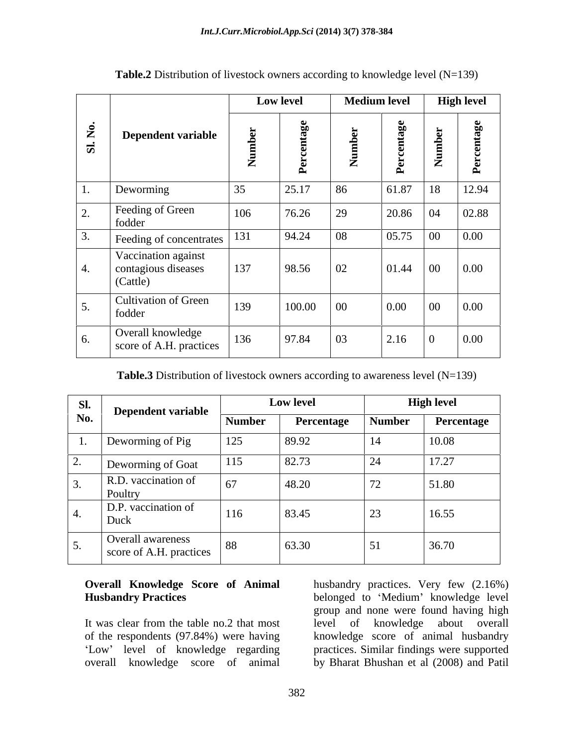|                  | Dependent variable                                     | Low level |                         | <b>Medium level</b> |                                          | <b>High level</b> |                                    |
|------------------|--------------------------------------------------------|-----------|-------------------------|---------------------|------------------------------------------|-------------------|------------------------------------|
| Sl. No.          |                                                        | Z         | 9e<br>മ<br>$\mathbf{r}$ | ച<br>$\mathbb{Z}$   | $\mathbf{g}$ e<br>⊷<br>ല<br>$\mathbf{r}$ | Number            | $g_{0}$<br>$\alpha$<br>٠<br>ම<br>≏ |
| $\mathbf{I}$ .   | Deworming                                              | 35        | 25.17                   | 86                  | 61.87                                    | 18                | 12.94                              |
| 2.               | Feeding of Green<br>fodder                             | 106       | 76.26                   | 29                  | 20.86                                    | 04                | 02.88                              |
| $\overline{3}$ . | Feeding of concentrates                                | 131       | 94.24                   | 08                  | 05.75                                    | $00\,$            | 0.00                               |
| 4.               | Vaccination against<br>contagious diseases<br>(Cattle) | 137       | 98.56                   | 02                  | 01.44                                    | 00                | $\vert 0.00 \vert$                 |
| 5.               | Cultivation of Green<br>fodder                         | 139       | 100.00                  | 00                  | 0.00                                     | 00                | $\vert 0.00 \vert$                 |
| 6.               | Overall knowledge<br>score of A.H. practices           | 136       | 97.84                   | 03                  | 2.16                                     |                   | 0.00                               |

**Table.2** Distribution of livestock owners according to knowledge level  $(N=139)$ 

**Table.3** Distribution of livestock owners according to awareness level (N=139)

| Sl.<br>No. | <b>Dependent variable</b>                    |               | Low level  | <b>High level</b> |            |  |
|------------|----------------------------------------------|---------------|------------|-------------------|------------|--|
|            |                                              | <b>Number</b> | Percentage | <b>Number</b>     | Percentage |  |
|            | Deworming of Pig                             | 125           | 89.92      | 14                | 10.08      |  |
| ـ ت        | Deworming of Goat                            | 115           | 82.73      | 24                | 17.27      |  |
|            | R.D. vaccination of<br>Poultry               | 67            | 48.20      | 72                | 51.80      |  |
|            | D.P. vaccination of<br>Duck                  | 116           | 83.45      | 23                | 16.55      |  |
|            | Overall awareness<br>score of A.H. practices | 88            | 63.30      | 51                | 36.70      |  |

**Overall Knowledge Score of Animal** husbandry practices. Very few (2.16%) **Husbandry Practices belonged to 'Medium' knowledge level** It was clear from the table no.2 that most level of knowledge about overall of the respondents (97.84%) were having knowledge score of animal husbandry Low' level of knowledge regarding practices. Similar findings were supported overall knowledge score of animal by Bharat Bhushan et al (2008) and Patilgroup and none were found having high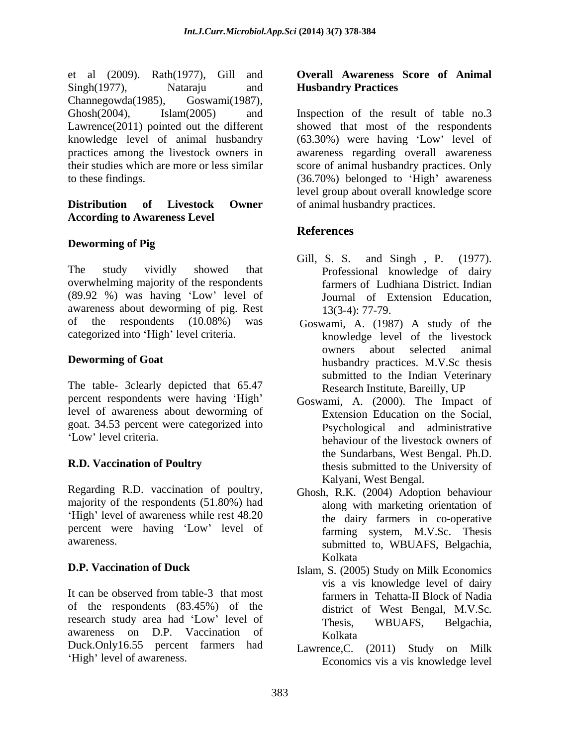et al (2009). Rath(1977), Gill and Singh(1977), Nataraju and Husbandry Practices Channegowda(1985), Goswami(1987), a alcohain and Correlation (1) and Correlation (1) and Correlation (1) and Correlation (1987). National Awareness Score of Animal<br>
Landmarty Practices<br>
Landmarty Practices<br>
Landmarty Practices<br>
Amathemarty (6.5.3.0%) were

# **According to Awareness Level**

### **Deworming of Pig**

The study vividly showed that Professional knowledge of dairy overwhelming majority of the respondents (89.92 %) was having 'Low' level of Journal of Extension Education, awareness about deworming of pig. Rest 13(3-4): 77-79. of the respondents (10.08%) was Goswami, A. (1987) A study of the

The table- 3clearly depicted that 65.47 percent respondents were having 'High' level of awareness about deworming of goat. 34.53 percent were categorized into

Regarding R.D. vaccination of poultry, majority of the respondents (51.80%) had 'High' level of awareness while rest 48.20 percent were having 'Low' level of

It can be observed from table-3 that most farmers in Tehatta-II Block of Nadia of the respondents (83.45%) of the research study area had 'Low' level of Thesis, WBUAFS, Belgachia, awareness on D.P. Vaccination of Duck.Only16.55 percent farmers had

# **Husbandry Practices**

Ghosh(2004), Islam(2005) and Inspection of the result of table no.3 Lawrence(2011) pointed out the different showed that most of the respondents knowledge level of animal husbandry (63.30%) were having 'Low' level of practices among the livestock owners in awareness regarding overall awareness their studies which are more or less similar score of animal husbandry practices. Only to these findings. (36.70%) belonged to 'High' awareness **Distribution of Livestock Owner**  of animal husbandry practices. level group about overall knowledge score

## **References**

- Gill, S. S. and Singh , P. (1977). farmers of Ludhiana District. Indian Journal of Extension Education, 13(3-4): 77-79.
- categorized into 'High' level criteria. <br>
knowledge level of the livestock **Deworming of Goat** husbandry practices. M.V.Sc thesis owners about selected animal submitted to the Indian Veterinary Research Institute, Bareilly, UP
- Low' level criteria. **R.D. Vaccination of Poultry** thesis submitted to the University of Goswami, A. (2000). The Impact of Extension Education on the Social, Psychological and administrative behaviour of the livestock owners of the Sundarbans, West Bengal. Ph.D. Kalyani, West Bengal.
- awareness. Submitted to, WBUAFS, Belgachia, Ghosh, R.K. (2004) Adoption behaviour along with marketing orientation of the dairy farmers in co-operative farming system, M.V.Sc. Thesis Kolkata
- **D.P. Vaccination of Duck** Islam, S. (2005) Study on Milk Economics vis a vis knowledge level of dairy farmers in Tehatta-II Block of Nadia district of West Bengal, M.V.Sc. Thesis, WBUAFS, Belgachia, Kolkata
	- Lawrence,C. (2011) Study on Milk Economics vis a vis knowledge level